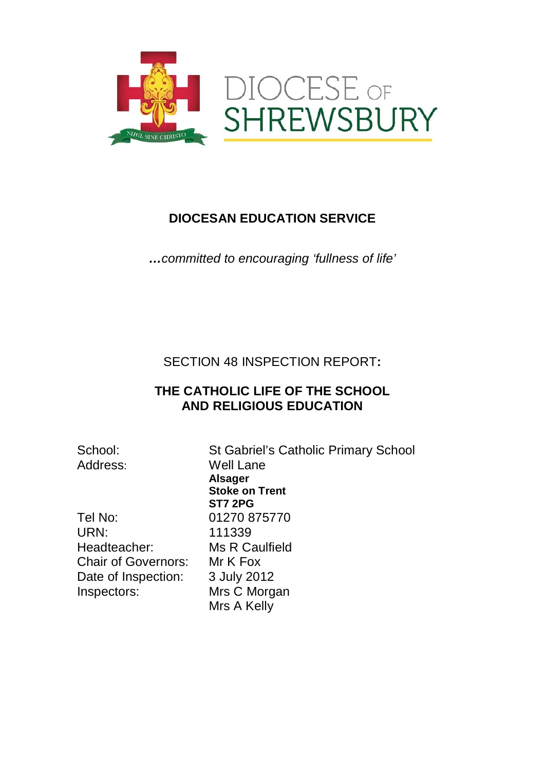

## **DIOCESAN EDUCATION SERVICE**

*…committed to encouraging 'fullness of life'*

SECTION 48 INSPECTION REPORT**:**

### **THE CATHOLIC LIFE OF THE SCHOOL AND RELIGIOUS EDUCATION**

School: St Gabriel's Catholic Primary School Address: Well Lane **Alsager Stoke on Trent ST7 2PG** Mrs A Kelly

Tel No: 01270 875770 URN: 111339 Headteacher: Ms R Caulfield Chair of Governors: Mr K Fox Date of Inspection: 3 July 2012 Inspectors: Mrs C Morgan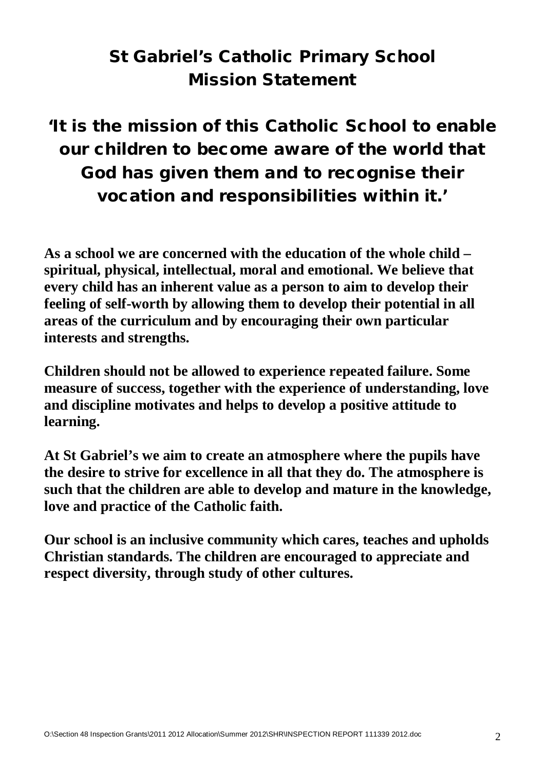# St Gabriel's Catholic Primary School Mission Statement

# 'It is the mission of this Catholic School to enable our children to become aware of the world that God has given them and to recognise their vocation and responsibilities within it.'

**As a school we are concerned with the education of the whole child – spiritual, physical, intellectual, moral and emotional. We believe that every child has an inherent value as a person to aim to develop their feeling of self-worth by allowing them to develop their potential in all areas of the curriculum and by encouraging their own particular interests and strengths.**

**Children should not be allowed to experience repeated failure. Some measure of success, together with the experience of understanding, love and discipline motivates and helps to develop a positive attitude to learning.**

**At St Gabriel's we aim to create an atmosphere where the pupils have the desire to strive for excellence in all that they do. The atmosphere is such that the children are able to develop and mature in the knowledge, love and practice of the Catholic faith.**

**Our school is an inclusive community which cares, teaches and upholds Christian standards. The children are encouraged to appreciate and respect diversity, through study of other cultures.**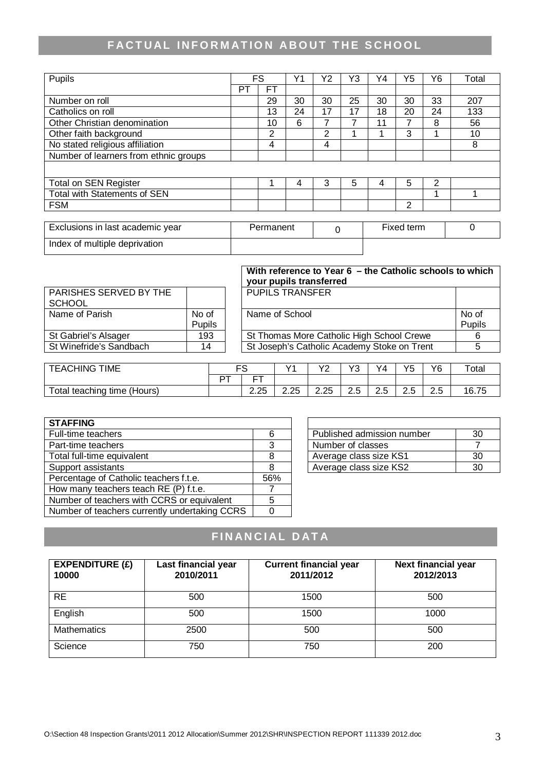## **FACTUAL INFORMATION ABOUT THE SCHOOL**

| Pupils                                |    | <b>FS</b>      | Υ1 | Υ2 | Y3 | Y4 | Y5 | Υ6 | Total |
|---------------------------------------|----|----------------|----|----|----|----|----|----|-------|
|                                       | РT | FT             |    |    |    |    |    |    |       |
| Number on roll                        |    | 29             | 30 | 30 | 25 | 30 | 30 | 33 | 207   |
| Catholics on roll                     |    | 13             | 24 | 17 | 17 | 18 | 20 | 24 | 133   |
| Other Christian denomination          |    | 10             | 6  |    |    | 11 |    | 8  | 56    |
| Other faith background                |    | $\overline{2}$ |    | 2  |    |    | 3  |    | 10    |
| No stated religious affiliation       |    | 4              |    | 4  |    |    |    |    | 8     |
| Number of learners from ethnic groups |    |                |    |    |    |    |    |    |       |
|                                       |    |                |    |    |    |    |    |    |       |
| <b>Total on SEN Register</b>          |    |                | 4  | 3  | 5  |    | 5  | 2  |       |
| <b>Total with Statements of SEN</b>   |    |                |    |    |    |    |    |    |       |
| <b>FSM</b>                            |    |                |    |    |    |    | 2  |    |       |
|                                       |    |                |    |    |    |    |    |    |       |

| Exclusions in last academic year | Permanent | Fixed term |  |
|----------------------------------|-----------|------------|--|
| Index of multiple deprivation    |           |            |  |

|                         |               | With reference to Year 6 – the Catholic schools to which<br>your pupils transferred |        |
|-------------------------|---------------|-------------------------------------------------------------------------------------|--------|
| PARISHES SERVED BY THE  |               | <b>PUPILS TRANSFER</b>                                                              |        |
| <b>SCHOOL</b>           |               |                                                                                     |        |
| Name of Parish          | No of         | Name of School                                                                      | No of  |
|                         | <b>Pupils</b> |                                                                                     | Pupils |
| St Gabriel's Alsager    | 193           | St Thomas More Catholic High School Crewe                                           |        |
| St Winefride's Sandbach | 14            | St Joseph's Catholic Academy Stoke on Trent                                         |        |
|                         |               |                                                                                     |        |

| TIME<br><b>EACHING</b>      | FS |            | v1            | vo<br>. <u>.</u> | $\sqrt{2}$<br>ت      | Y4 | VĘ<br>ں ו                | Y6            | Total |
|-----------------------------|----|------------|---------------|------------------|----------------------|----|--------------------------|---------------|-------|
|                             |    | ---        |               |                  |                      |    |                          |               |       |
| Total teaching time (Hours) |    | つつに<br>تءے | つつに<br>ں ے. ے | 2.25             | $\sim$ $\sim$<br>د.ء | ت  | $\Omega$ $\Gamma$<br>د.ء | $\sim$<br>د.ء | 16.75 |

| <b>STAFFING</b>                               |     |                            |    |
|-----------------------------------------------|-----|----------------------------|----|
| Full-time teachers                            | 6   | Published admission number | 30 |
| Part-time teachers                            | 3   | Number of classes          |    |
| Total full-time equivalent                    | 8   | Average class size KS1     | 30 |
| Support assistants                            |     | Average class size KS2     | 30 |
| Percentage of Catholic teachers f.t.e.        | 56% |                            |    |
| How many teachers teach RE (P) f.t.e.         |     |                            |    |
| Number of teachers with CCRS or equivalent    |     |                            |    |
| Number of teachers currently undertaking CCRS |     |                            |    |

| Published admission number | חצ |
|----------------------------|----|
| Number of classes          |    |
| Average class size KS1     |    |
| Average class size KS2     |    |

## **FINANCIAL DATA**

| <b>EXPENDITURE (£)</b><br>10000 | Last financial year<br>2010/2011 | <b>Current financial year</b><br>2011/2012 | <b>Next financial year</b><br>2012/2013 |
|---------------------------------|----------------------------------|--------------------------------------------|-----------------------------------------|
| <b>RE</b>                       | 500                              | 1500                                       | 500                                     |
| English                         | 500                              | 1500                                       | 1000                                    |
| <b>Mathematics</b>              | 2500                             | 500                                        | 500                                     |
| Science                         | 750                              | 750                                        | 200                                     |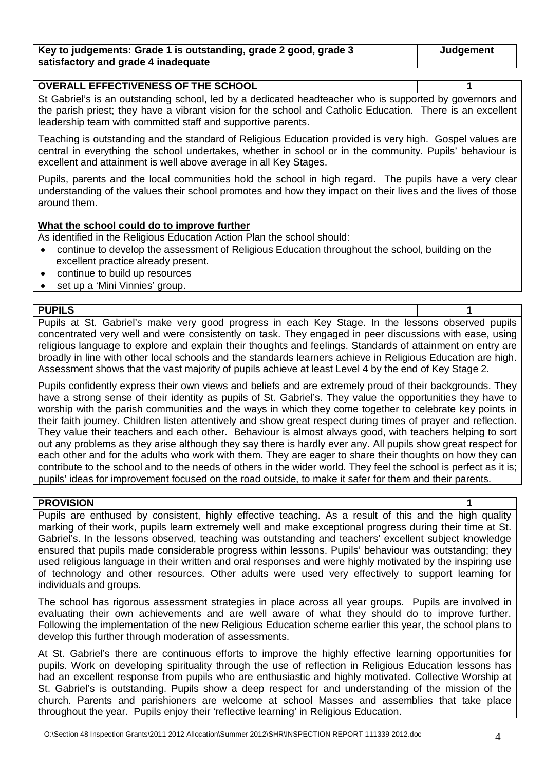| Key to judgements: Grade 1 is outstanding, grade 2 good, grade 3 | <b>Judgement</b> |
|------------------------------------------------------------------|------------------|
| satisfactory and grade 4 inadequate                              |                  |

| <b>OVERALL EFFECTIVENESS OF THE SCHOOL</b> |  |  |  |  |
|--------------------------------------------|--|--|--|--|
| $\sim$ $\sim$                              |  |  |  |  |

St Gabriel's is an outstanding school, led by a dedicated headteacher who is supported by governors and the parish priest; they have a vibrant vision for the school and Catholic Education. There is an excellent leadership team with committed staff and supportive parents.

Teaching is outstanding and the standard of Religious Education provided is very high. Gospel values are central in everything the school undertakes, whether in school or in the community. Pupils' behaviour is excellent and attainment is well above average in all Key Stages.

Pupils, parents and the local communities hold the school in high regard. The pupils have a very clear understanding of the values their school promotes and how they impact on their lives and the lives of those around them.

#### **What the school could do to improve further**

As identified in the Religious Education Action Plan the school should:

- continue to develop the assessment of Religious Education throughout the school, building on the excellent practice already present.
- continue to build up resources
- set up a 'Mini Vinnies' group.

#### **PUPILS 1**

Pupils at St. Gabriel's make very good progress in each Key Stage. In the lessons observed pupils concentrated very well and were consistently on task. They engaged in peer discussions with ease, using religious language to explore and explain their thoughts and feelings. Standards of attainment on entry are broadly in line with other local schools and the standards learners achieve in Religious Education are high. Assessment shows that the vast majority of pupils achieve at least Level 4 by the end of Key Stage 2.

Pupils confidently express their own views and beliefs and are extremely proud of their backgrounds. They have a strong sense of their identity as pupils of St. Gabriel's. They value the opportunities they have to worship with the parish communities and the ways in which they come together to celebrate key points in their faith journey. Children listen attentively and show great respect during times of prayer and reflection. They value their teachers and each other. Behaviour is almost always good, with teachers helping to sort out any problems as they arise although they say there is hardly ever any. All pupils show great respect for each other and for the adults who work with them. They are eager to share their thoughts on how they can contribute to the school and to the needs of others in the wider world. They feel the school is perfect as it is; pupils' ideas for improvement focused on the road outside, to make it safer for them and their parents.

#### **PROVISION 1**

Pupils are enthused by consistent, highly effective teaching. As a result of this and the high quality marking of their work, pupils learn extremely well and make exceptional progress during their time at St. Gabriel's. In the lessons observed, teaching was outstanding and teachers' excellent subject knowledge ensured that pupils made considerable progress within lessons. Pupils' behaviour was outstanding; they used religious language in their written and oral responses and were highly motivated by the inspiring use of technology and other resources. Other adults were used very effectively to support learning for individuals and groups.

The school has rigorous assessment strategies in place across all year groups. Pupils are involved in evaluating their own achievements and are well aware of what they should do to improve further. Following the implementation of the new Religious Education scheme earlier this year, the school plans to develop this further through moderation of assessments.

At St. Gabriel's there are continuous efforts to improve the highly effective learning opportunities for pupils. Work on developing spirituality through the use of reflection in Religious Education lessons has had an excellent response from pupils who are enthusiastic and highly motivated. Collective Worship at St. Gabriel's is outstanding. Pupils show a deep respect for and understanding of the mission of the church. Parents and parishioners are welcome at school Masses and assemblies that take place throughout the year. Pupils enjoy their 'reflective learning' in Religious Education.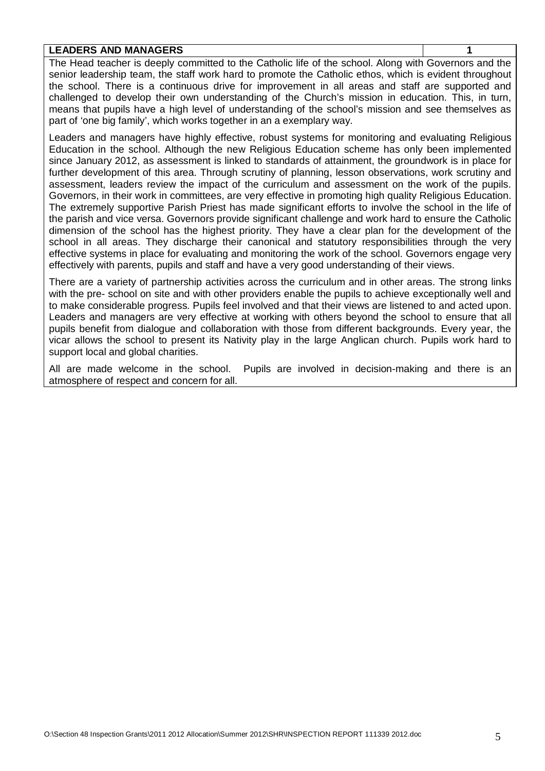#### **LEADERS AND MANAGERS 1**

The Head teacher is deeply committed to the Catholic life of the school. Along with Governors and the senior leadership team, the staff work hard to promote the Catholic ethos, which is evident throughout the school. There is a continuous drive for improvement in all areas and staff are supported and challenged to develop their own understanding of the Church's mission in education. This, in turn, means that pupils have a high level of understanding of the school's mission and see themselves as part of 'one big family', which works together in an a exemplary way.

Leaders and managers have highly effective, robust systems for monitoring and evaluating Religious Education in the school. Although the new Religious Education scheme has only been implemented since January 2012, as assessment is linked to standards of attainment, the groundwork is in place for further development of this area. Through scrutiny of planning, lesson observations, work scrutiny and assessment, leaders review the impact of the curriculum and assessment on the work of the pupils. Governors, in their work in committees, are very effective in promoting high quality Religious Education. The extremely supportive Parish Priest has made significant efforts to involve the school in the life of the parish and vice versa. Governors provide significant challenge and work hard to ensure the Catholic dimension of the school has the highest priority. They have a clear plan for the development of the school in all areas. They discharge their canonical and statutory responsibilities through the very effective systems in place for evaluating and monitoring the work of the school. Governors engage very effectively with parents, pupils and staff and have a very good understanding of their views.

There are a variety of partnership activities across the curriculum and in other areas. The strong links with the pre- school on site and with other providers enable the pupils to achieve exceptionally well and to make considerable progress. Pupils feel involved and that their views are listened to and acted upon. Leaders and managers are very effective at working with others beyond the school to ensure that all pupils benefit from dialogue and collaboration with those from different backgrounds. Every year, the vicar allows the school to present its Nativity play in the large Anglican church. Pupils work hard to support local and global charities.

All are made welcome in the school. Pupils are involved in decision-making and there is an atmosphere of respect and concern for all.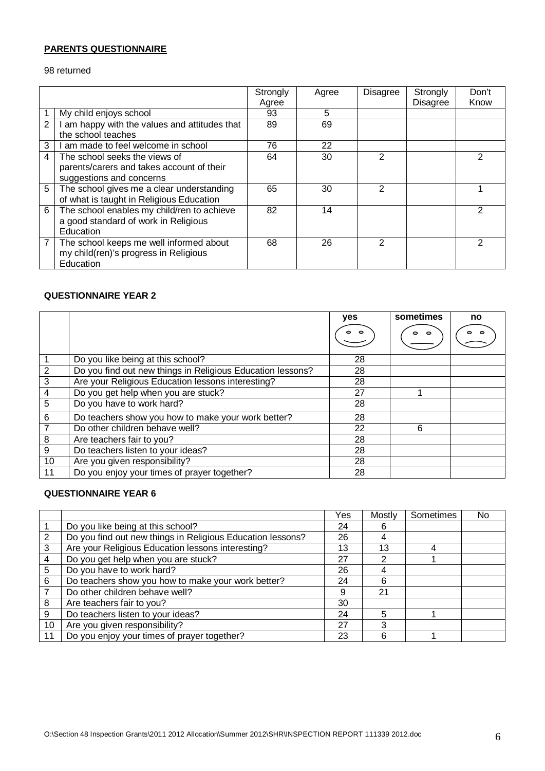#### **PARENTS QUESTIONNAIRE**

returned

|                |                                               | Strongly | Agree | Disagree | Strongly        | Don't |
|----------------|-----------------------------------------------|----------|-------|----------|-----------------|-------|
|                |                                               | Agree    |       |          | <b>Disagree</b> | Know  |
|                | My child enjoys school                        | 93       | 5     |          |                 |       |
| $\overline{2}$ | I am happy with the values and attitudes that | 89       | 69    |          |                 |       |
|                | the school teaches                            |          |       |          |                 |       |
| 3              | am made to feel welcome in school             | 76       | 22    |          |                 |       |
| 4              | The school seeks the views of                 | 64       | 30    | 2        |                 | 2     |
|                | parents/carers and takes account of their     |          |       |          |                 |       |
|                | suggestions and concerns                      |          |       |          |                 |       |
| 5              | The school gives me a clear understanding     | 65       | 30    | 2        |                 |       |
|                | of what is taught in Religious Education      |          |       |          |                 |       |
| 6              | The school enables my child/ren to achieve    | 82       | 14    |          |                 | 2     |
|                | a good standard of work in Religious          |          |       |          |                 |       |
|                | <b>Education</b>                              |          |       |          |                 |       |
| 7              | The school keeps me well informed about       | 68       | 26    | 2        |                 | 2     |
|                | my child(ren)'s progress in Religious         |          |       |          |                 |       |
|                | Education                                     |          |       |          |                 |       |

#### **QUESTIONNAIRE YEAR 2**

|                |                                                            | yes | sometimes | no |
|----------------|------------------------------------------------------------|-----|-----------|----|
|                |                                                            |     | C         |    |
|                | Do you like being at this school?                          | 28  |           |    |
| $\overline{c}$ | Do you find out new things in Religious Education lessons? | 28  |           |    |
| $\mathbf{3}$   | Are your Religious Education lessons interesting?          | 28  |           |    |
| $\overline{4}$ | Do you get help when you are stuck?                        | 27  |           |    |
| 5              | Do you have to work hard?                                  | 28  |           |    |
| 6              | Do teachers show you how to make your work better?         | 28  |           |    |
| $\overline{7}$ | Do other children behave well?                             | 22  | 6         |    |
| 8              | Are teachers fair to you?                                  | 28  |           |    |
| 9              | Do teachers listen to your ideas?                          | 28  |           |    |
| 10             | Are you given responsibility?                              | 28  |           |    |
| 11             | Do you enjoy your times of prayer together?                | 28  |           |    |

#### **QUESTIONNAIRE YEAR 6**

|    |                                                            | Yes | Mostly | Sometimes | No |
|----|------------------------------------------------------------|-----|--------|-----------|----|
|    | Do you like being at this school?                          | 24  |        |           |    |
| 2  | Do you find out new things in Religious Education lessons? | 26  |        |           |    |
| 3  | Are your Religious Education lessons interesting?          | 13  | 13     |           |    |
| 4  | Do you get help when you are stuck?                        | 27  |        |           |    |
| 5  | Do you have to work hard?                                  | 26  |        |           |    |
| 6  | Do teachers show you how to make your work better?         | 24  | 6      |           |    |
|    | Do other children behave well?                             | 9   | 21     |           |    |
| 8  | Are teachers fair to you?                                  | 30  |        |           |    |
| 9  | Do teachers listen to your ideas?                          | 24  | 5      |           |    |
| 10 | Are you given responsibility?                              | 27  | 3      |           |    |
| 11 | Do you enjoy your times of prayer together?                | 23  | 6      |           |    |